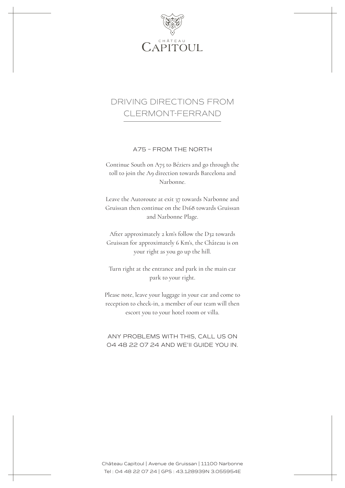

## DRIVING DIRECTIONS FROM CLERMONT-FERRAND

A75 – FROM THE NORTH

Continue South on A75 to Béziers and go through the toll to join the A9 direction towards Barcelona and Narbonne.

Leave the Autoroute at exit 37 towards Narbonne and Gruissan then continue on the D168 towards Gruissan and Narbonne Plage.

After approximately 2 km's follow the D32 towards Gruissan for approximately 6 Km's, the Château is on your right as you go up the hill.

Turn right at the entrance and park in the main car park to your right.

Please note, leave your luggage in your car and come to reception to check-in, a member of our team will then escort you to your hotel room or villa.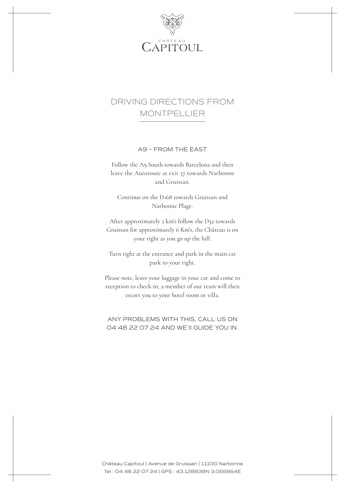

## DRIVING DIRECTIONS FROM MONTPELLIER

A9 – FROM THE EAST

Follow the A9 South towards Barcelona and then leave the Autoroute at exit 37 towards Narbonne and Gruissan.

Continue on the D168 towards Gruissan and Narbonne Plage.

After approximately 2 km's follow the D32 towards Gruissan for approximately 6 Km's, the Château is on your right as you go up the hill.

Turn right at the entrance and park in the main car park to your right.

Please note, leave your luggage in your car and come to reception to check-in, a member of our team will then escort you to your hotel room or villa.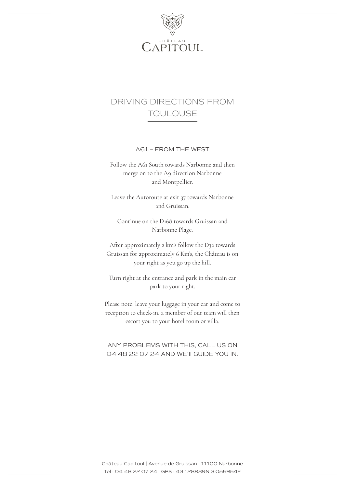

## DRIVING DIRECTIONS FROM TOULOUSE

A61 – FROM THE WEST

Follow the A61 South towards Narbonne and then merge on to the A9 direction Narbonne and Montpellier.

Leave the Autoroute at exit 37 towards Narbonne and Gruissan.

Continue on the D168 towards Gruissan and Narbonne Plage.

After approximately 2 km's follow the D32 towards Gruissan for approximately 6 Km's, the Château is on your right as you go up the hill.

Turn right at the entrance and park in the main car park to your right.

Please note, leave your luggage in your car and come to reception to check-in, a member of our team will then escort you to your hotel room or villa.